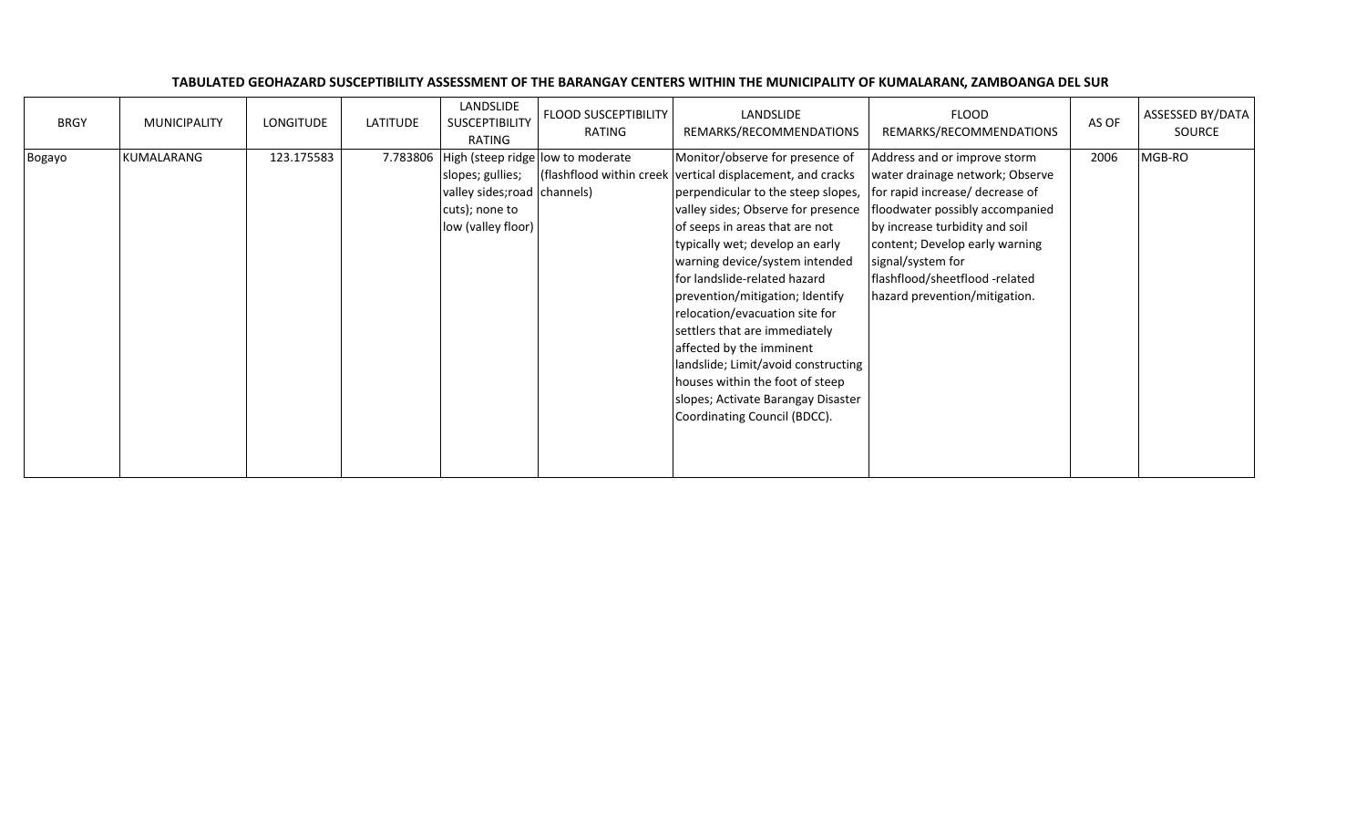| <b>BRGY</b> | <b>MUNICIPALITY</b> | LONGITUDE  | LATITUDE | LANDSLIDE<br>SUSCEPTIBILITY<br>RATING                                                    | <b>FLOOD SUSCEPTIBILITY</b><br>RATING | LANDSLIDE<br>REMARKS/RECOMMENDATIONS                                                                                                                                                                                                                                                                                                                                                                                                                                                                                                                                                               | <b>FLOOD</b><br>REMARKS/RECOMMENDATIONS                                                                                                                                                                                                                                                           | AS OF | ASSESSED BY/DATA<br>SOURCE |
|-------------|---------------------|------------|----------|------------------------------------------------------------------------------------------|---------------------------------------|----------------------------------------------------------------------------------------------------------------------------------------------------------------------------------------------------------------------------------------------------------------------------------------------------------------------------------------------------------------------------------------------------------------------------------------------------------------------------------------------------------------------------------------------------------------------------------------------------|---------------------------------------------------------------------------------------------------------------------------------------------------------------------------------------------------------------------------------------------------------------------------------------------------|-------|----------------------------|
| Bogayo      | KUMALARANG          | 123.175583 | 7.783806 | slopes; gullies;<br>valley sides; road channels)<br>cuts); none to<br>low (valley floor) | High (steep ridge low to moderate     | Monitor/observe for presence of<br>(flashflood within creek vertical displacement, and cracks<br>perpendicular to the steep slopes,<br>valley sides; Observe for presence<br>of seeps in areas that are not<br>typically wet; develop an early<br>warning device/system intended<br>for landslide-related hazard<br>prevention/mitigation; Identify<br>relocation/evacuation site for<br>settlers that are immediately<br>affected by the imminent<br>landslide; Limit/avoid constructing<br>houses within the foot of steep<br>slopes; Activate Barangay Disaster<br>Coordinating Council (BDCC). | Address and or improve storm<br>water drainage network; Observe<br>for rapid increase/ decrease of<br>floodwater possibly accompanied<br>by increase turbidity and soil<br>content; Develop early warning<br>signal/system for<br>flashflood/sheetflood -related<br>hazard prevention/mitigation. | 2006  | MGB-RO                     |

## TABULATED GEOHAZARD SUSCEPTIBILITY ASSESSMENT OF THE BARANGAY CENTERS WITHIN THE MUNICIPALITY OF KUMALARANG, ZAMBOANGA DEL SUR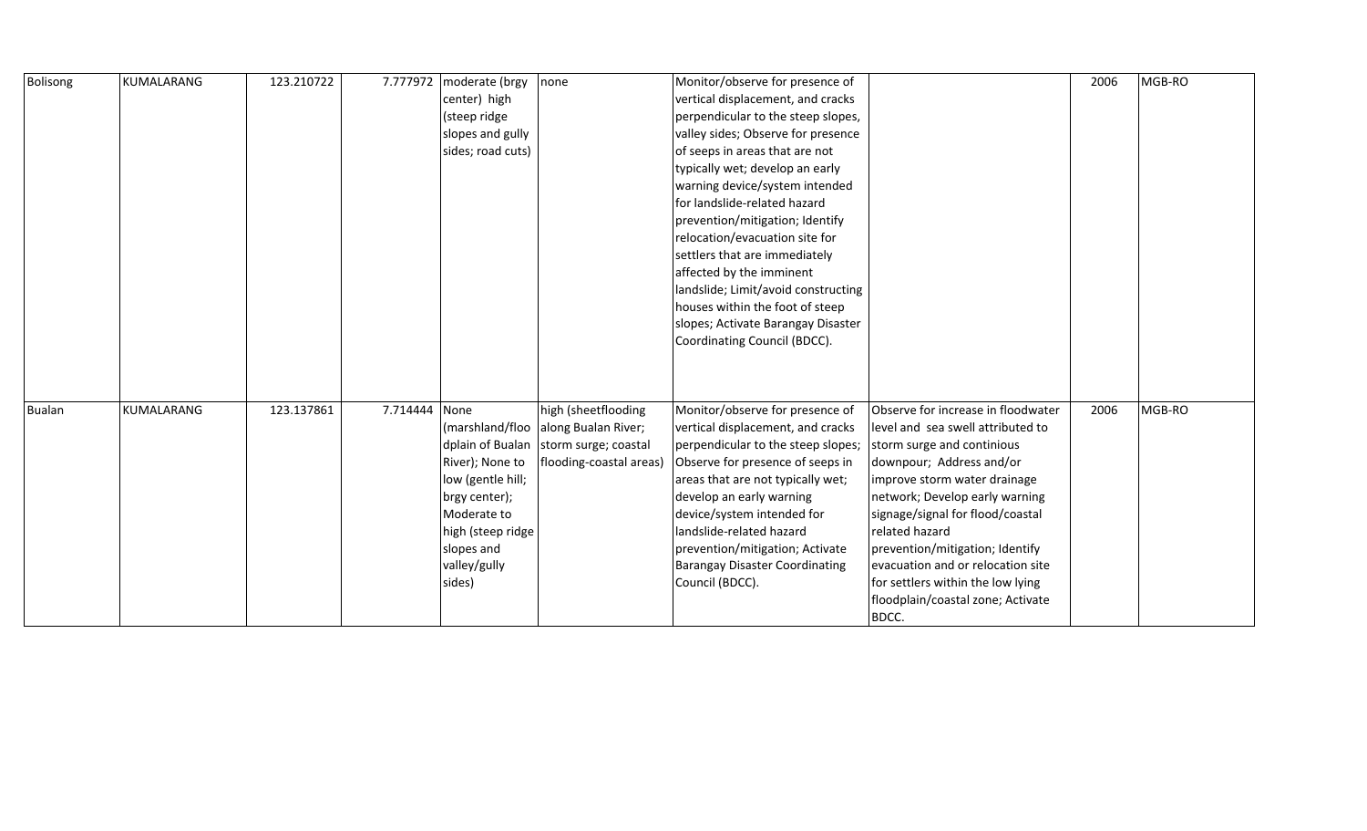| Bolisong      | KUMALARANG | 123.210722 | 7.777972      | moderate (brgy    | none                                  | Monitor/observe for presence of       |                                    | 2006 | MGB-RO |
|---------------|------------|------------|---------------|-------------------|---------------------------------------|---------------------------------------|------------------------------------|------|--------|
|               |            |            |               | center) high      |                                       | vertical displacement, and cracks     |                                    |      |        |
|               |            |            |               | (steep ridge      |                                       | perpendicular to the steep slopes,    |                                    |      |        |
|               |            |            |               | slopes and gully  |                                       | valley sides; Observe for presence    |                                    |      |        |
|               |            |            |               | sides; road cuts) |                                       | of seeps in areas that are not        |                                    |      |        |
|               |            |            |               |                   |                                       | typically wet; develop an early       |                                    |      |        |
|               |            |            |               |                   |                                       | warning device/system intended        |                                    |      |        |
|               |            |            |               |                   |                                       | for landslide-related hazard          |                                    |      |        |
|               |            |            |               |                   |                                       | prevention/mitigation; Identify       |                                    |      |        |
|               |            |            |               |                   |                                       | relocation/evacuation site for        |                                    |      |        |
|               |            |            |               |                   |                                       | settlers that are immediately         |                                    |      |        |
|               |            |            |               |                   |                                       | affected by the imminent              |                                    |      |        |
|               |            |            |               |                   |                                       | landslide; Limit/avoid constructing   |                                    |      |        |
|               |            |            |               |                   |                                       | houses within the foot of steep       |                                    |      |        |
|               |            |            |               |                   |                                       | slopes; Activate Barangay Disaster    |                                    |      |        |
|               |            |            |               |                   |                                       | Coordinating Council (BDCC).          |                                    |      |        |
|               |            |            |               |                   |                                       |                                       |                                    |      |        |
|               |            |            |               |                   |                                       |                                       |                                    |      |        |
|               |            |            |               |                   |                                       |                                       |                                    |      |        |
| <b>Bualan</b> | KUMALARANG | 123.137861 | 7.714444 None |                   | high (sheetflooding                   | Monitor/observe for presence of       | Observe for increase in floodwater | 2006 | MGB-RO |
|               |            |            |               | (marshland/floo   | along Bualan River;                   | vertical displacement, and cracks     | level and sea swell attributed to  |      |        |
|               |            |            |               |                   | dplain of Bualan storm surge; coastal | perpendicular to the steep slopes;    | storm surge and continious         |      |        |
|               |            |            |               | River); None to   | flooding-coastal areas)               | Observe for presence of seeps in      | downpour; Address and/or           |      |        |
|               |            |            |               | low (gentle hill; |                                       | areas that are not typically wet;     | improve storm water drainage       |      |        |
|               |            |            |               | brgy center);     |                                       | develop an early warning              | network; Develop early warning     |      |        |
|               |            |            |               | Moderate to       |                                       | device/system intended for            | signage/signal for flood/coastal   |      |        |
|               |            |            |               | high (steep ridge |                                       | landslide-related hazard              | related hazard                     |      |        |
|               |            |            |               | slopes and        |                                       | prevention/mitigation; Activate       | prevention/mitigation; Identify    |      |        |
|               |            |            |               | valley/gully      |                                       | <b>Barangay Disaster Coordinating</b> | evacuation and or relocation site  |      |        |
|               |            |            |               | sides)            |                                       | Council (BDCC).                       | for settlers within the low lying  |      |        |
|               |            |            |               |                   |                                       |                                       | floodplain/coastal zone; Activate  |      |        |
|               |            |            |               |                   |                                       |                                       | BDCC.                              |      |        |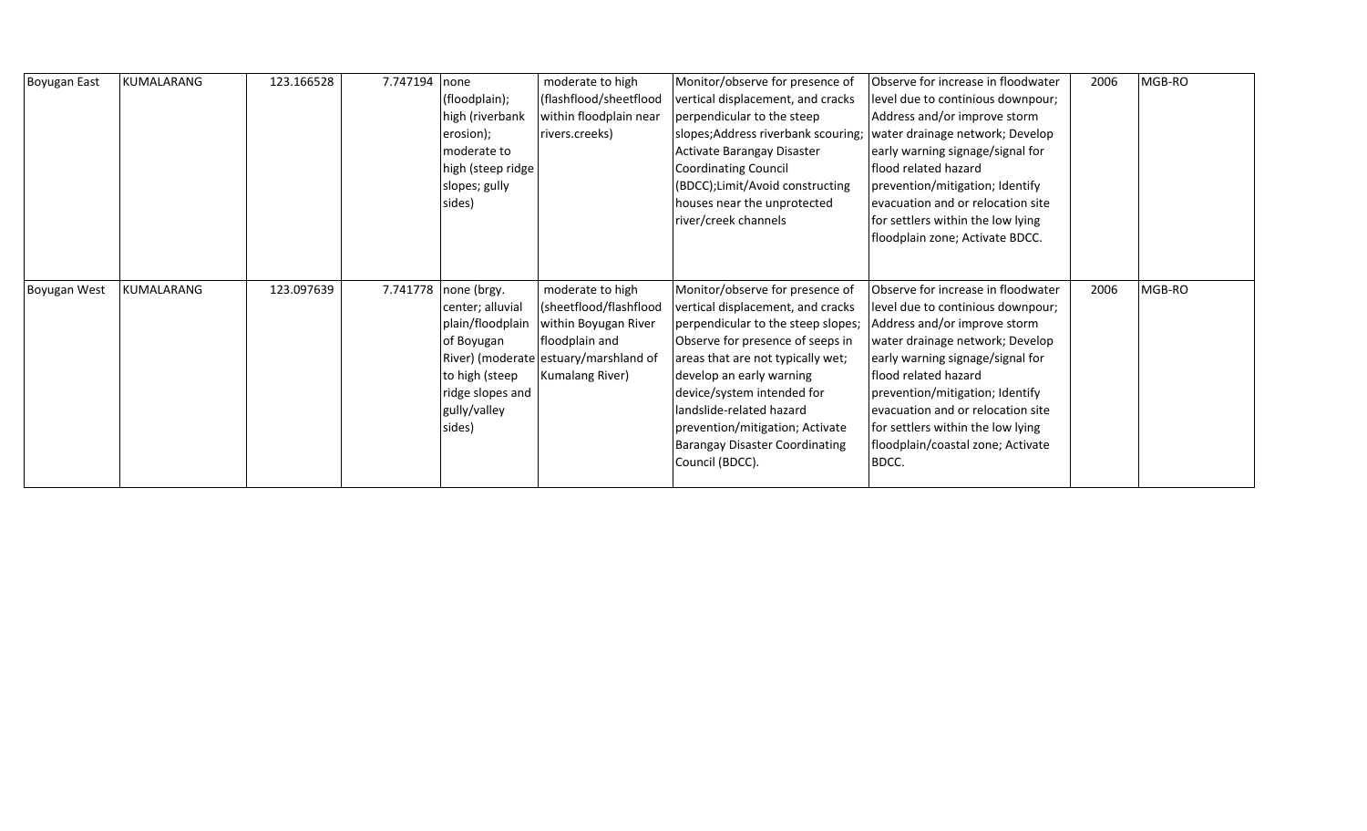| <b>Boyugan East</b> | KUMALARANG | 123.166528 | 7.747194 | none              | moderate to high                      | Monitor/observe for presence of       | Observe for increase in floodwater | 2006 | MGB-RO |
|---------------------|------------|------------|----------|-------------------|---------------------------------------|---------------------------------------|------------------------------------|------|--------|
|                     |            |            |          | (floodplain);     | (flashflood/sheetflood                | vertical displacement, and cracks     | level due to continious downpour;  |      |        |
|                     |            |            |          | high (riverbank   | within floodplain near                | perpendicular to the steep            | Address and/or improve storm       |      |        |
|                     |            |            |          | erosion);         | rivers.creeks)                        | slopes; Address riverbank scouring;   | water drainage network; Develop    |      |        |
|                     |            |            |          | moderate to       |                                       | Activate Barangay Disaster            | early warning signage/signal for   |      |        |
|                     |            |            |          | high (steep ridge |                                       | <b>Coordinating Council</b>           | flood related hazard               |      |        |
|                     |            |            |          | slopes; gully     |                                       | (BDCC);Limit/Avoid constructing       | prevention/mitigation; Identify    |      |        |
|                     |            |            |          | sides)            |                                       | houses near the unprotected           | evacuation and or relocation site  |      |        |
|                     |            |            |          |                   |                                       | river/creek channels                  | for settlers within the low lying  |      |        |
|                     |            |            |          |                   |                                       |                                       | floodplain zone; Activate BDCC.    |      |        |
|                     |            |            |          |                   |                                       |                                       |                                    |      |        |
|                     |            |            |          |                   |                                       |                                       |                                    |      |        |
| Boyugan West        | KUMALARANG | 123.097639 | 7.741778 | none (brgy.       | moderate to high                      | Monitor/observe for presence of       | Observe for increase in floodwater | 2006 | MGB-RO |
|                     |            |            |          | center; alluvial  | (sheetflood/flashflood                | vertical displacement, and cracks     | level due to continious downpour;  |      |        |
|                     |            |            |          | plain/floodplain  | within Boyugan River                  | perpendicular to the steep slopes;    | Address and/or improve storm       |      |        |
|                     |            |            |          | of Boyugan        | floodplain and                        |                                       |                                    |      |        |
|                     |            |            |          |                   |                                       | Observe for presence of seeps in      | water drainage network; Develop    |      |        |
|                     |            |            |          |                   | River) (moderate estuary/marshland of | areas that are not typically wet;     | early warning signage/signal for   |      |        |
|                     |            |            |          | to high (steep    | Kumalang River)                       | develop an early warning              | flood related hazard               |      |        |
|                     |            |            |          | ridge slopes and  |                                       | device/system intended for            | prevention/mitigation; Identify    |      |        |
|                     |            |            |          | gully/valley      |                                       | landslide-related hazard              | evacuation and or relocation site  |      |        |
|                     |            |            |          | sides)            |                                       | prevention/mitigation; Activate       | for settlers within the low lying  |      |        |
|                     |            |            |          |                   |                                       | <b>Barangay Disaster Coordinating</b> | floodplain/coastal zone; Activate  |      |        |
|                     |            |            |          |                   |                                       | Council (BDCC).                       | BDCC.                              |      |        |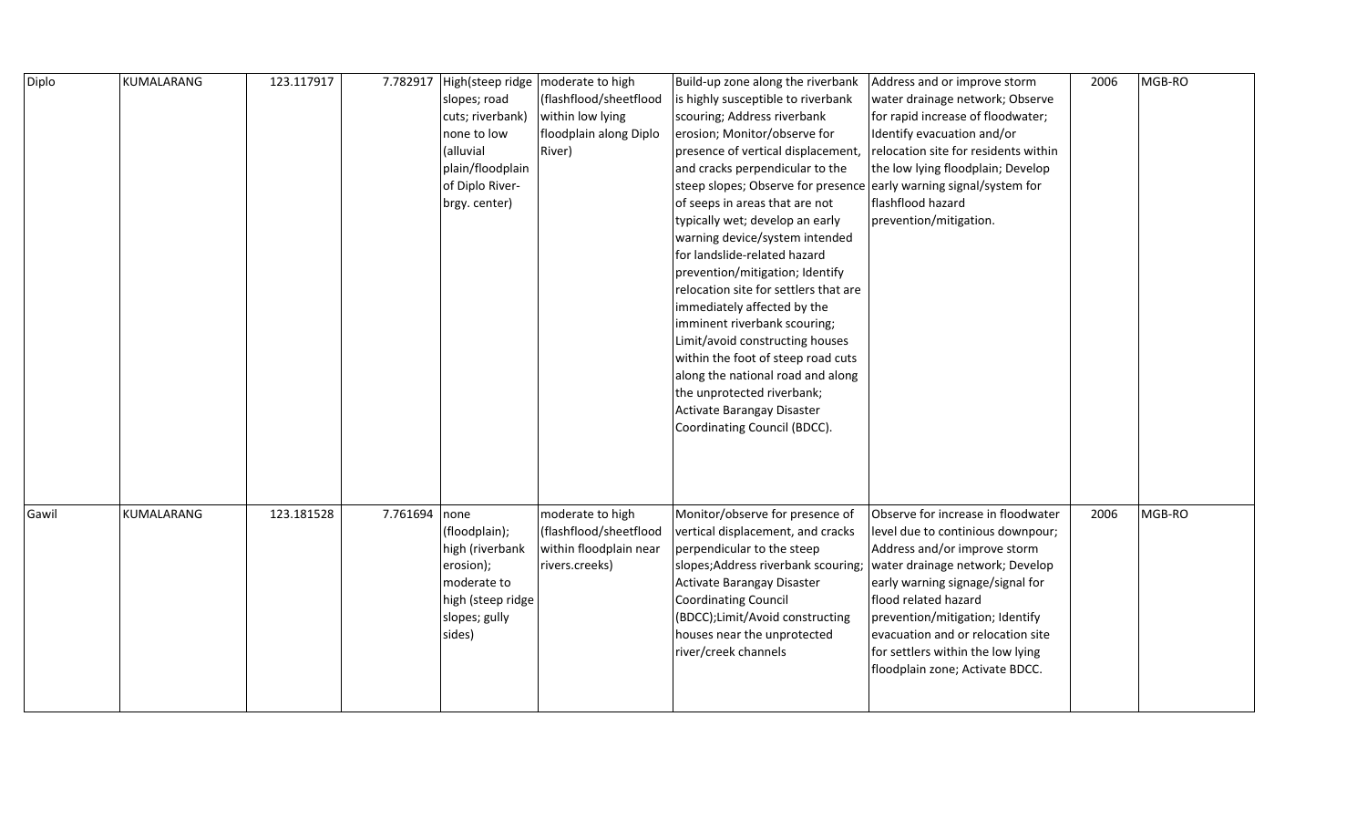| Diplo | KUMALARANG | 123.117917 | 7.782917      |                   | High(steep ridge   moderate to high | Build-up zone along the riverbank                                  | Address and or improve storm         | 2006 | MGB-RO |
|-------|------------|------------|---------------|-------------------|-------------------------------------|--------------------------------------------------------------------|--------------------------------------|------|--------|
|       |            |            |               | slopes; road      | (flashflood/sheetflood              | is highly susceptible to riverbank                                 | water drainage network; Observe      |      |        |
|       |            |            |               | cuts; riverbank)  | within low lying                    | scouring; Address riverbank                                        | for rapid increase of floodwater;    |      |        |
|       |            |            |               | none to low       | floodplain along Diplo              | erosion; Monitor/observe for                                       | Identify evacuation and/or           |      |        |
|       |            |            |               | (alluvial         | River)                              | presence of vertical displacement,                                 | relocation site for residents within |      |        |
|       |            |            |               | plain/floodplain  |                                     | and cracks perpendicular to the                                    | the low lying floodplain; Develop    |      |        |
|       |            |            |               | of Diplo River-   |                                     | steep slopes; Observe for presence early warning signal/system for |                                      |      |        |
|       |            |            |               | brgy. center)     |                                     | of seeps in areas that are not                                     | flashflood hazard                    |      |        |
|       |            |            |               |                   |                                     | typically wet; develop an early                                    | prevention/mitigation.               |      |        |
|       |            |            |               |                   |                                     | warning device/system intended                                     |                                      |      |        |
|       |            |            |               |                   |                                     | for landslide-related hazard                                       |                                      |      |        |
|       |            |            |               |                   |                                     | prevention/mitigation; Identify                                    |                                      |      |        |
|       |            |            |               |                   |                                     | relocation site for settlers that are                              |                                      |      |        |
|       |            |            |               |                   |                                     | immediately affected by the                                        |                                      |      |        |
|       |            |            |               |                   |                                     | imminent riverbank scouring;                                       |                                      |      |        |
|       |            |            |               |                   |                                     | Limit/avoid constructing houses                                    |                                      |      |        |
|       |            |            |               |                   |                                     | within the foot of steep road cuts                                 |                                      |      |        |
|       |            |            |               |                   |                                     | along the national road and along                                  |                                      |      |        |
|       |            |            |               |                   |                                     | the unprotected riverbank;                                         |                                      |      |        |
|       |            |            |               |                   |                                     | Activate Barangay Disaster                                         |                                      |      |        |
|       |            |            |               |                   |                                     | Coordinating Council (BDCC).                                       |                                      |      |        |
|       |            |            |               |                   |                                     |                                                                    |                                      |      |        |
|       |            |            |               |                   |                                     |                                                                    |                                      |      |        |
|       |            |            |               |                   |                                     |                                                                    |                                      |      |        |
|       |            |            |               |                   |                                     |                                                                    |                                      |      |        |
| Gawil | KUMALARANG | 123.181528 | 7.761694 none |                   | moderate to high                    | Monitor/observe for presence of                                    | Observe for increase in floodwater   | 2006 | MGB-RO |
|       |            |            |               | (floodplain);     | (flashflood/sheetflood              | vertical displacement, and cracks                                  | level due to continious downpour;    |      |        |
|       |            |            |               | high (riverbank   | within floodplain near              | perpendicular to the steep                                         | Address and/or improve storm         |      |        |
|       |            |            |               | erosion);         | rivers.creeks)                      | slopes;Address riverbank scouring; water drainage network; Develop |                                      |      |        |
|       |            |            |               | moderate to       |                                     | Activate Barangay Disaster                                         | early warning signage/signal for     |      |        |
|       |            |            |               | high (steep ridge |                                     | Coordinating Council                                               | flood related hazard                 |      |        |
|       |            |            |               | slopes; gully     |                                     | (BDCC); Limit/Avoid constructing                                   | prevention/mitigation; Identify      |      |        |
|       |            |            |               | sides)            |                                     | houses near the unprotected                                        | evacuation and or relocation site    |      |        |
|       |            |            |               |                   |                                     | river/creek channels                                               | for settlers within the low lying    |      |        |
|       |            |            |               |                   |                                     |                                                                    | floodplain zone; Activate BDCC.      |      |        |
|       |            |            |               |                   |                                     |                                                                    |                                      |      |        |
|       |            |            |               |                   |                                     |                                                                    |                                      |      |        |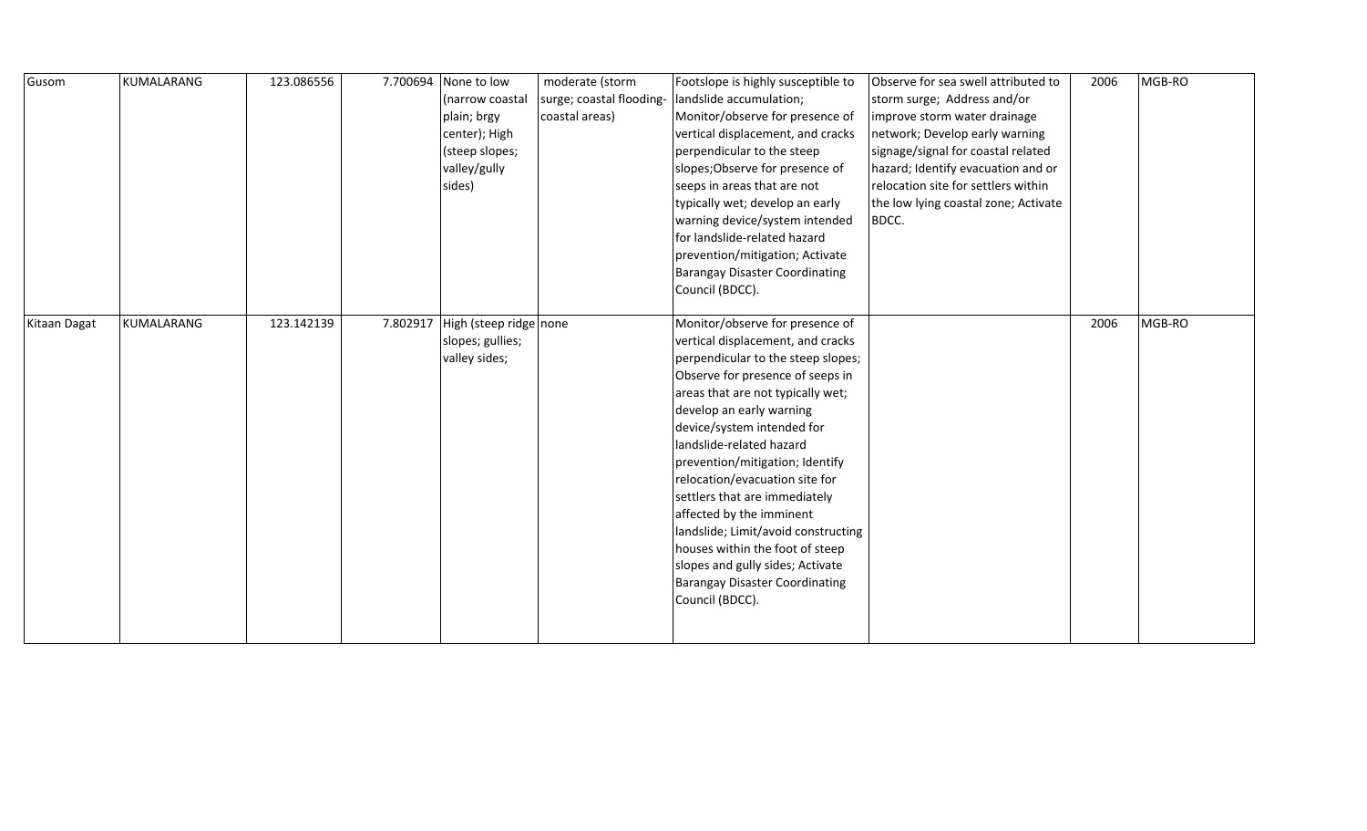| Gusom        | KUMALARANG | 123.086556 |          | 7.700694 None to low   | moderate (storm          | Footslope is highly susceptible to    | Observe for sea swell attributed to  | 2006 | MGB-RO |
|--------------|------------|------------|----------|------------------------|--------------------------|---------------------------------------|--------------------------------------|------|--------|
|              |            |            |          | (narrow coastal        | surge; coastal flooding- | landslide accumulation;               | storm surge; Address and/or          |      |        |
|              |            |            |          | plain; brgy            | coastal areas)           | Monitor/observe for presence of       | improve storm water drainage         |      |        |
|              |            |            |          | center); High          |                          | vertical displacement, and cracks     | network; Develop early warning       |      |        |
|              |            |            |          | (steep slopes;         |                          | perpendicular to the steep            | signage/signal for coastal related   |      |        |
|              |            |            |          | valley/gully           |                          | slopes; Observe for presence of       | hazard; Identify evacuation and or   |      |        |
|              |            |            |          | sides)                 |                          | seeps in areas that are not           | relocation site for settlers within  |      |        |
|              |            |            |          |                        |                          | typically wet; develop an early       | the low lying coastal zone; Activate |      |        |
|              |            |            |          |                        |                          | warning device/system intended        | BDCC.                                |      |        |
|              |            |            |          |                        |                          | for landslide-related hazard          |                                      |      |        |
|              |            |            |          |                        |                          | prevention/mitigation; Activate       |                                      |      |        |
|              |            |            |          |                        |                          | <b>Barangay Disaster Coordinating</b> |                                      |      |        |
|              |            |            |          |                        |                          | Council (BDCC).                       |                                      |      |        |
|              |            |            |          |                        |                          |                                       |                                      |      |        |
| Kitaan Dagat | KUMALARANG | 123.142139 | 7.802917 | High (steep ridge none |                          | Monitor/observe for presence of       |                                      | 2006 | MGB-RO |
|              |            |            |          | slopes; gullies;       |                          | vertical displacement, and cracks     |                                      |      |        |
|              |            |            |          | valley sides;          |                          | perpendicular to the steep slopes;    |                                      |      |        |
|              |            |            |          |                        |                          | Observe for presence of seeps in      |                                      |      |        |
|              |            |            |          |                        |                          | areas that are not typically wet;     |                                      |      |        |
|              |            |            |          |                        |                          | develop an early warning              |                                      |      |        |
|              |            |            |          |                        |                          | device/system intended for            |                                      |      |        |
|              |            |            |          |                        |                          | landslide-related hazard              |                                      |      |        |
|              |            |            |          |                        |                          | prevention/mitigation; Identify       |                                      |      |        |
|              |            |            |          |                        |                          | relocation/evacuation site for        |                                      |      |        |
|              |            |            |          |                        |                          | settlers that are immediately         |                                      |      |        |
|              |            |            |          |                        |                          | affected by the imminent              |                                      |      |        |
|              |            |            |          |                        |                          | landslide; Limit/avoid constructing   |                                      |      |        |
|              |            |            |          |                        |                          | houses within the foot of steep       |                                      |      |        |
|              |            |            |          |                        |                          | slopes and gully sides; Activate      |                                      |      |        |
|              |            |            |          |                        |                          | <b>Barangay Disaster Coordinating</b> |                                      |      |        |
|              |            |            |          |                        |                          | Council (BDCC).                       |                                      |      |        |
|              |            |            |          |                        |                          |                                       |                                      |      |        |
|              |            |            |          |                        |                          |                                       |                                      |      |        |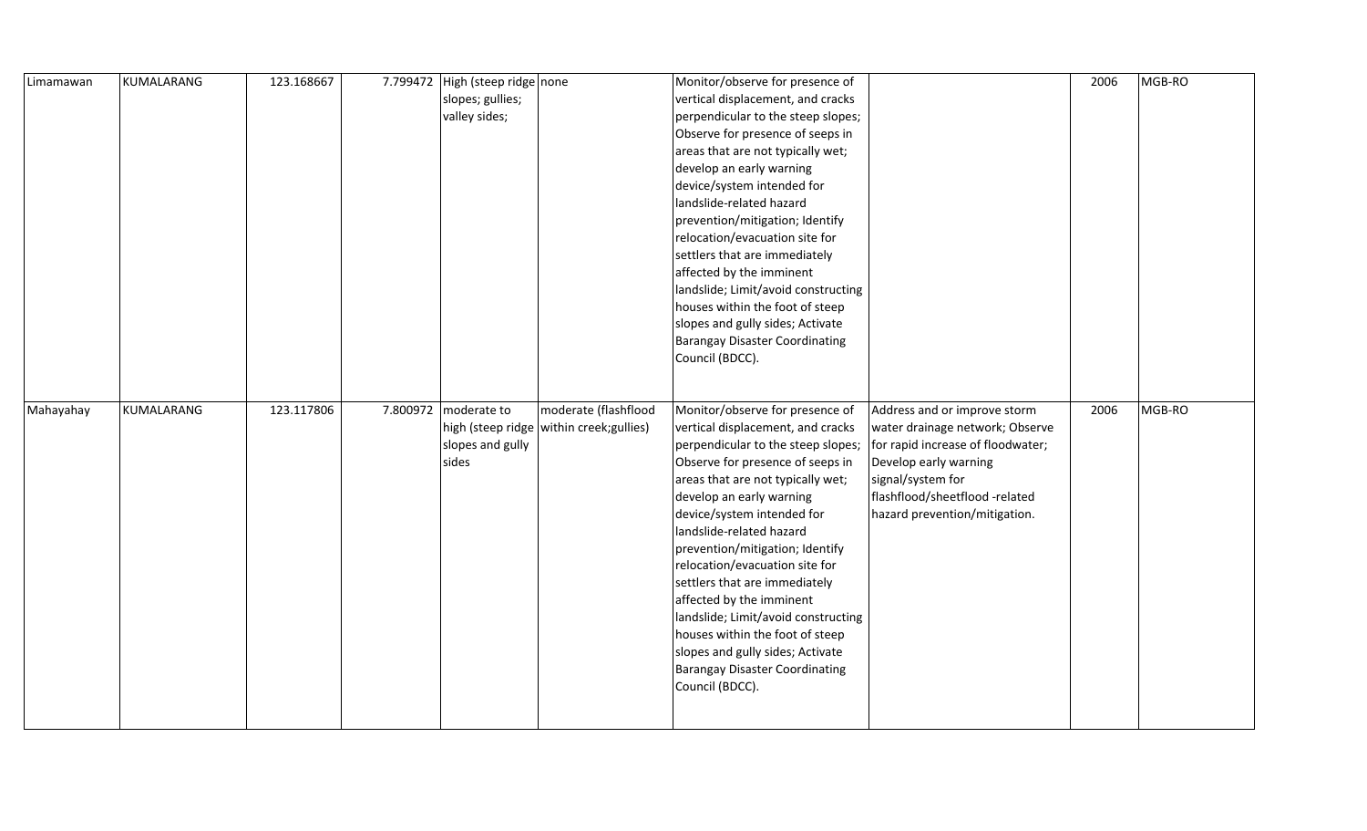| Limamawan | KUMALARANG | 123.168667 | 7.799472 | High (steep ridge none |                                            | Monitor/observe for presence of       |                                   | 2006 | MGB-RO |
|-----------|------------|------------|----------|------------------------|--------------------------------------------|---------------------------------------|-----------------------------------|------|--------|
|           |            |            |          | slopes; gullies;       |                                            | vertical displacement, and cracks     |                                   |      |        |
|           |            |            |          | valley sides;          |                                            | perpendicular to the steep slopes;    |                                   |      |        |
|           |            |            |          |                        |                                            | Observe for presence of seeps in      |                                   |      |        |
|           |            |            |          |                        |                                            | areas that are not typically wet;     |                                   |      |        |
|           |            |            |          |                        |                                            | develop an early warning              |                                   |      |        |
|           |            |            |          |                        |                                            | device/system intended for            |                                   |      |        |
|           |            |            |          |                        |                                            | landslide-related hazard              |                                   |      |        |
|           |            |            |          |                        |                                            | prevention/mitigation; Identify       |                                   |      |        |
|           |            |            |          |                        |                                            | relocation/evacuation site for        |                                   |      |        |
|           |            |            |          |                        |                                            | settlers that are immediately         |                                   |      |        |
|           |            |            |          |                        |                                            | affected by the imminent              |                                   |      |        |
|           |            |            |          |                        |                                            | landslide; Limit/avoid constructing   |                                   |      |        |
|           |            |            |          |                        |                                            | houses within the foot of steep       |                                   |      |        |
|           |            |            |          |                        |                                            | slopes and gully sides; Activate      |                                   |      |        |
|           |            |            |          |                        |                                            | <b>Barangay Disaster Coordinating</b> |                                   |      |        |
|           |            |            |          |                        |                                            | Council (BDCC).                       |                                   |      |        |
|           |            |            |          |                        |                                            |                                       |                                   |      |        |
|           |            |            |          |                        |                                            |                                       |                                   |      |        |
| Mahayahay | KUMALARANG | 123.117806 | 7.800972 | moderate to            | moderate (flashflood                       | Monitor/observe for presence of       | Address and or improve storm      | 2006 | MGB-RO |
|           |            |            |          |                        |                                            |                                       |                                   |      |        |
|           |            |            |          |                        | high (steep ridge   within creek; gullies) | vertical displacement, and cracks     | water drainage network; Observe   |      |        |
|           |            |            |          | slopes and gully       |                                            | perpendicular to the steep slopes;    | for rapid increase of floodwater; |      |        |
|           |            |            |          | sides                  |                                            | Observe for presence of seeps in      | Develop early warning             |      |        |
|           |            |            |          |                        |                                            | areas that are not typically wet;     | signal/system for                 |      |        |
|           |            |            |          |                        |                                            | develop an early warning              | flashflood/sheetflood -related    |      |        |
|           |            |            |          |                        |                                            | device/system intended for            | hazard prevention/mitigation.     |      |        |
|           |            |            |          |                        |                                            | landslide-related hazard              |                                   |      |        |
|           |            |            |          |                        |                                            | prevention/mitigation; Identify       |                                   |      |        |
|           |            |            |          |                        |                                            | relocation/evacuation site for        |                                   |      |        |
|           |            |            |          |                        |                                            | settlers that are immediately         |                                   |      |        |
|           |            |            |          |                        |                                            | affected by the imminent              |                                   |      |        |
|           |            |            |          |                        |                                            | landslide; Limit/avoid constructing   |                                   |      |        |
|           |            |            |          |                        |                                            | houses within the foot of steep       |                                   |      |        |
|           |            |            |          |                        |                                            | slopes and gully sides; Activate      |                                   |      |        |
|           |            |            |          |                        |                                            | Barangay Disaster Coordinating        |                                   |      |        |
|           |            |            |          |                        |                                            | Council (BDCC).                       |                                   |      |        |
|           |            |            |          |                        |                                            |                                       |                                   |      |        |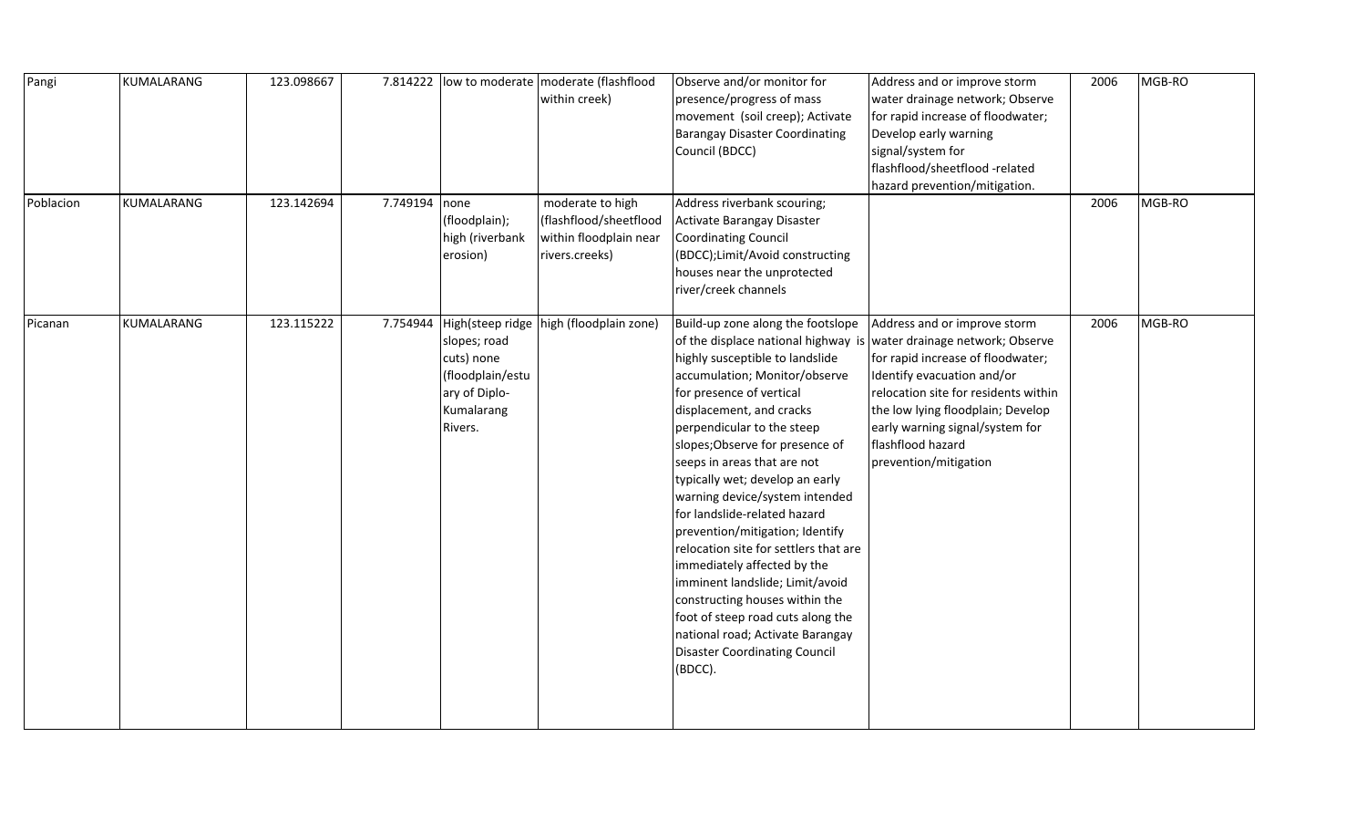| Pangi     | KUMALARANG | 123.098667 |               |                                                                                                                       | 7.814222  low to moderate   moderate (flashflood<br>within creek)                      | Observe and/or monitor for<br>presence/progress of mass<br>movement (soil creep); Activate<br><b>Barangay Disaster Coordinating</b><br>Council (BDCC)                                                                                                                                                                                                                                                                                                                                                                                                                                                                                                                                                                 | Address and or improve storm<br>water drainage network; Observe<br>for rapid increase of floodwater;<br>Develop early warning<br>signal/system for<br>flashflood/sheetflood -related<br>hazard prevention/mitigation.                                                                            | 2006 | MGB-RO |
|-----------|------------|------------|---------------|-----------------------------------------------------------------------------------------------------------------------|----------------------------------------------------------------------------------------|-----------------------------------------------------------------------------------------------------------------------------------------------------------------------------------------------------------------------------------------------------------------------------------------------------------------------------------------------------------------------------------------------------------------------------------------------------------------------------------------------------------------------------------------------------------------------------------------------------------------------------------------------------------------------------------------------------------------------|--------------------------------------------------------------------------------------------------------------------------------------------------------------------------------------------------------------------------------------------------------------------------------------------------|------|--------|
| Poblacion | KUMALARANG | 123.142694 | 7.749194 none | (floodplain);<br>high (riverbank<br>erosion)                                                                          | moderate to high<br>(flashflood/sheetflood<br>within floodplain near<br>rivers.creeks) | Address riverbank scouring;<br>Activate Barangay Disaster<br><b>Coordinating Council</b><br>(BDCC);Limit/Avoid constructing<br>houses near the unprotected<br>river/creek channels                                                                                                                                                                                                                                                                                                                                                                                                                                                                                                                                    |                                                                                                                                                                                                                                                                                                  | 2006 | MGB-RO |
| Picanan   | KUMALARANG | 123.115222 |               | 7.754944 High(steep ridge<br>slopes; road<br>cuts) none<br>(floodplain/estu<br>ary of Diplo-<br>Kumalarang<br>Rivers. | high (floodplain zone)                                                                 | Build-up zone along the footslope<br>of the displace national highway is<br>highly susceptible to landslide<br>accumulation; Monitor/observe<br>for presence of vertical<br>displacement, and cracks<br>perpendicular to the steep<br>slopes; Observe for presence of<br>seeps in areas that are not<br>typically wet; develop an early<br>warning device/system intended<br>for landslide-related hazard<br>prevention/mitigation; Identify<br>relocation site for settlers that are<br>immediately affected by the<br>imminent landslide; Limit/avoid<br>constructing houses within the<br>foot of steep road cuts along the<br>national road; Activate Barangay<br><b>Disaster Coordinating Council</b><br>(BDCC). | Address and or improve storm<br>water drainage network; Observe<br>for rapid increase of floodwater;<br>Identify evacuation and/or<br>relocation site for residents within<br>the low lying floodplain; Develop<br>early warning signal/system for<br>flashflood hazard<br>prevention/mitigation | 2006 | MGB-RO |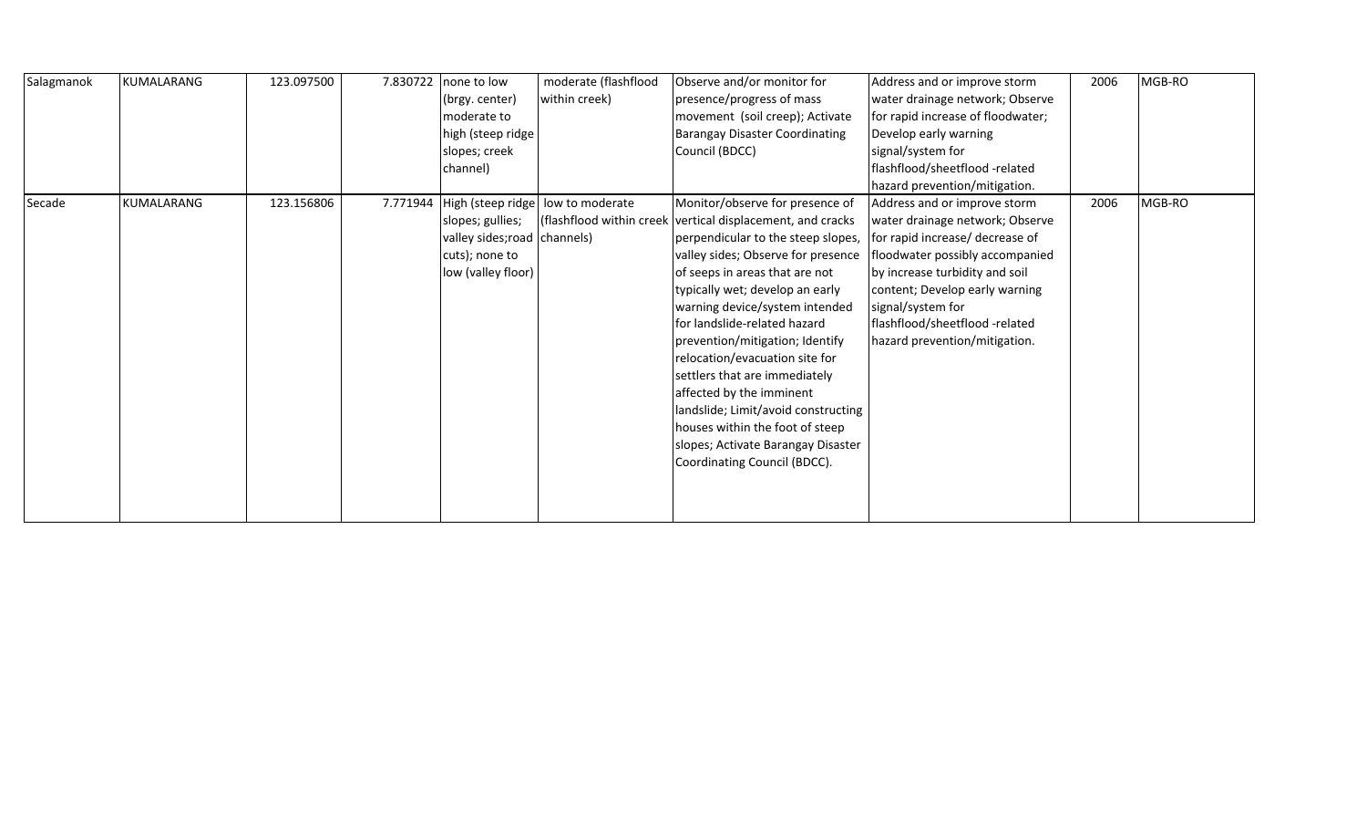| Salagmanok | <b>KUMALARANG</b> | 123.097500 | 7.830722 | none to low                  | moderate (flashflood | Observe and/or monitor for                                 | Address and or improve storm      | 2006 | MGB-RO |
|------------|-------------------|------------|----------|------------------------------|----------------------|------------------------------------------------------------|-----------------------------------|------|--------|
|            |                   |            |          | (brgy. center)               | within creek)        | presence/progress of mass                                  | water drainage network; Observe   |      |        |
|            |                   |            |          | moderate to                  |                      | movement (soil creep); Activate                            | for rapid increase of floodwater; |      |        |
|            |                   |            |          | high (steep ridge            |                      | <b>Barangay Disaster Coordinating</b>                      | Develop early warning             |      |        |
|            |                   |            |          | slopes; creek                |                      | Council (BDCC)                                             | signal/system for                 |      |        |
|            |                   |            |          | channel)                     |                      |                                                            | flashflood/sheetflood -related    |      |        |
|            |                   |            |          |                              |                      |                                                            | hazard prevention/mitigation.     |      |        |
| Secade     | KUMALARANG        | 123.156806 | 7.771944 | High (steep ridge            | low to moderate      | Monitor/observe for presence of                            | Address and or improve storm      | 2006 | MGB-RO |
|            |                   |            |          | slopes; gullies;             |                      | (flashflood within creek vertical displacement, and cracks | water drainage network; Observe   |      |        |
|            |                   |            |          | valley sides; road channels) |                      | perpendicular to the steep slopes,                         | for rapid increase/ decrease of   |      |        |
|            |                   |            |          | cuts); none to               |                      | valley sides; Observe for presence                         | floodwater possibly accompanied   |      |        |
|            |                   |            |          | low (valley floor)           |                      | of seeps in areas that are not                             | by increase turbidity and soil    |      |        |
|            |                   |            |          |                              |                      | typically wet; develop an early                            | content; Develop early warning    |      |        |
|            |                   |            |          |                              |                      | warning device/system intended                             | signal/system for                 |      |        |
|            |                   |            |          |                              |                      | for landslide-related hazard                               | flashflood/sheetflood -related    |      |        |
|            |                   |            |          |                              |                      | prevention/mitigation; Identify                            | hazard prevention/mitigation.     |      |        |
|            |                   |            |          |                              |                      | relocation/evacuation site for                             |                                   |      |        |
|            |                   |            |          |                              |                      | settlers that are immediately                              |                                   |      |        |
|            |                   |            |          |                              |                      | affected by the imminent                                   |                                   |      |        |
|            |                   |            |          |                              |                      | landslide; Limit/avoid constructing                        |                                   |      |        |
|            |                   |            |          |                              |                      | houses within the foot of steep                            |                                   |      |        |
|            |                   |            |          |                              |                      | slopes; Activate Barangay Disaster                         |                                   |      |        |
|            |                   |            |          |                              |                      | Coordinating Council (BDCC).                               |                                   |      |        |
|            |                   |            |          |                              |                      |                                                            |                                   |      |        |
|            |                   |            |          |                              |                      |                                                            |                                   |      |        |
|            |                   |            |          |                              |                      |                                                            |                                   |      |        |